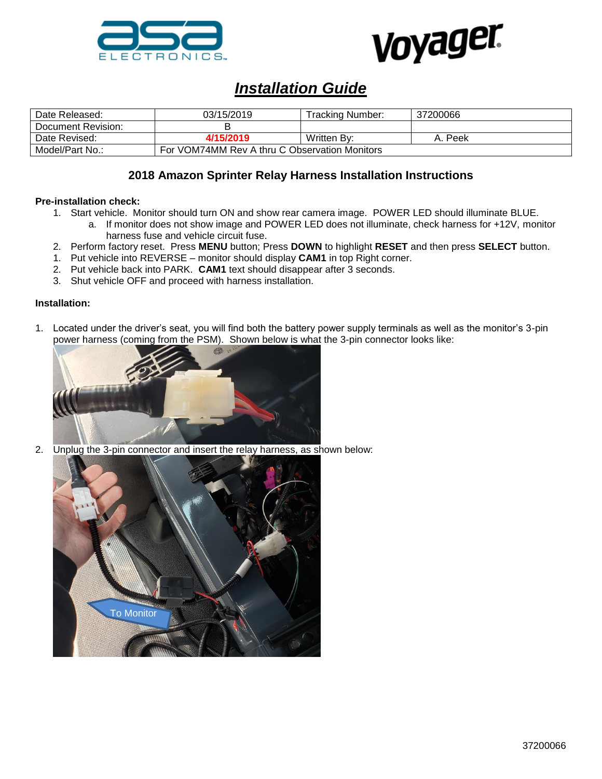



# *Installation Guide*

| Date Released:     | 03/15/2019                                    | Tracking Number: | 37200066 |
|--------------------|-----------------------------------------------|------------------|----------|
| Document Revision: |                                               |                  |          |
| Date Revised:      | 4/15/2019                                     | Written By:      | Peek     |
| Model/Part No.:    | For VOM74MM Rev A thru C Observation Monitors |                  |          |

## **2018 Amazon Sprinter Relay Harness Installation Instructions**

### **Pre-installation check:**

- 1. Start vehicle. Monitor should turn ON and show rear camera image. POWER LED should illuminate BLUE.
	- a. If monitor does not show image and POWER LED does not illuminate, check harness for +12V, monitor harness fuse and vehicle circuit fuse.
- 2. Perform factory reset. Press **MENU** button; Press **DOWN** to highlight **RESET** and then press **SELECT** button.
- 1. Put vehicle into REVERSE monitor should display **CAM1** in top Right corner.
- 2. Put vehicle back into PARK. **CAM1** text should disappear after 3 seconds.
- 3. Shut vehicle OFF and proceed with harness installation.

#### **Installation:**

1. Located under the driver's seat, you will find both the battery power supply terminals as well as the monitor's 3-pin power harness (coming from the PSM). Shown below is what the 3-pin connector looks like:



2. Unplug the 3-pin connector and insert the relay harness, as shown below: